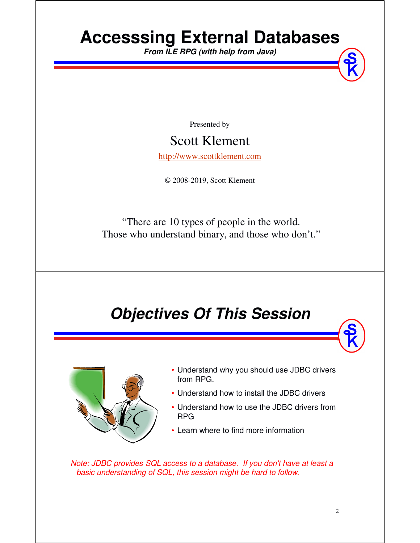# **Accesssing External Databases**

**From ILE RPG (with help from Java)**

Presented by

### Scott Klement

http://www.scottklement.com

© 2008-2019, Scott Klement

"There are 10 types of people in the world. Those who understand binary, and those who don't."

### **Objectives Of This Session**



- Understand why you should use JDBC drivers from RPG.
- Understand how to install the JDBC drivers
- Understand how to use the JDBC drivers from RPG
- Learn where to find more information

*Note: JDBC provides SQL access to a database. If you don't have at least a basic understanding of SQL, this session might be hard to follow.*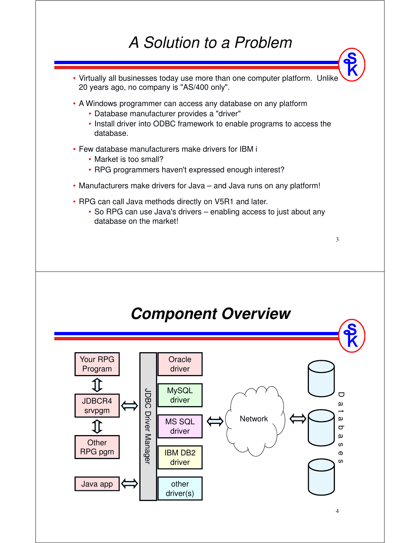### *A Solution to a Problem*

- Virtually all businesses today use more than one computer platform. Unlike 20 years ago, no company is "AS/400 only".
- A Windows programmer can access any database on any platform
	- Database manufacturer provides a "driver"
	- Install driver into ODBC framework to enable programs to access the database.
- Few database manufacturers make drivers for IBM i
	- Market is too small?
	- RPG programmers haven't expressed enough interest?
- Manufacturers make drivers for Java and Java runs on any platform!
- RPG can call Java methods directly on V5R1 and later.
	- So RPG can use Java's drivers enabling access to just about any database on the market!



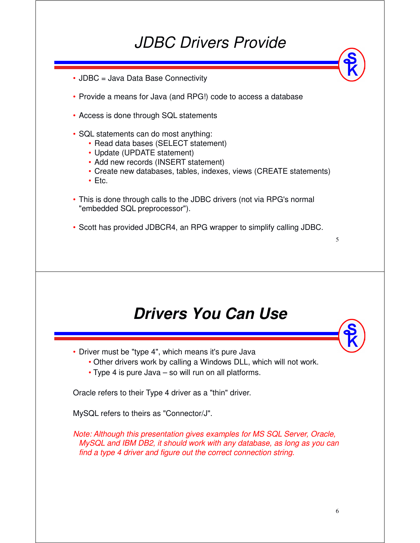### *JDBC Drivers Provide*

- JDBC = Java Data Base Connectivity
- Provide a means for Java (and RPG!) code to access a database
- Access is done through SQL statements
- SQL statements can do most anything:
	- Read data bases (SELECT statement)
	- Update (UPDATE statement)
	- Add new records (INSERT statement)
	- Create new databases, tables, indexes, views (CREATE statements)
	- Etc.
- This is done through calls to the JDBC drivers (not via RPG's normal "embedded SQL preprocessor").
- Scott has provided JDBCR4, an RPG wrapper to simplify calling JDBC.

### **Drivers You Can Use**

- Driver must be "type 4", which means it's pure Java
	- Other drivers work by calling a Windows DLL, which will not work.
	- Type 4 is pure Java so will run on all platforms.

Oracle refers to their Type 4 driver as a "thin" driver.

MySQL refers to theirs as "Connector/J".

*Note: Although this presentation gives examples for MS SQL Server, Oracle, MySQL and IBM DB2, it should work with any database, as long as you can find a type 4 driver and figure out the correct connection string.*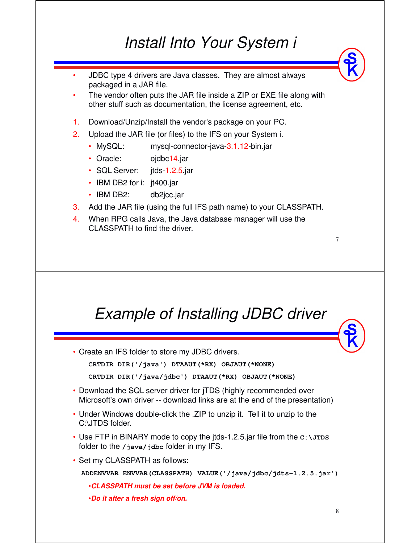### *Install Into Your System i*

- • JDBC type 4 drivers are Java classes. They are almost always packaged in a JAR file.
- • The vendor often puts the JAR file inside a ZIP or EXE file along with other stuff such as documentation, the license agreement, etc.
- 1. Download/Unzip/Install the vendor's package on your PC.
- 2. Upload the JAR file (or files) to the IFS on your System i.
	- MySQL: mysql-connector-java-3.1.12-bin.jar
	- Oracle: ojdbc14.jar
	- SQL Server: jtds-1.2.5.jar
	- IBM DB2 for i: jt400.jar
	- IBM DB2: db2jcc.jar
- 3. Add the JAR file (using the full IFS path name) to your CLASSPATH.
- 4. When RPG calls Java, the Java database manager will use the CLASSPATH to find the driver.

### *Example of Installing JDBC driver*

• Create an IFS folder to store my JDBC drivers.

```
CRTDIR DIR('/java') DTAAUT(*RX) OBJAUT(*NONE)
```

```
CRTDIR DIR('/java/jdbc') DTAAUT(*RX) OBJAUT(*NONE)
```
- Download the SQL server driver for jTDS (highly recommended over Microsoft's own driver -- download links are at the end of the presentation)
- Under Windows double-click the .ZIP to unzip it. Tell it to unzip to the C:\JTDS folder.
- Use FTP in BINARY mode to copy the jtds-1.2.5.jar file from the  $c:\J$ *x*rps folder to the **/java/jdbc** folder in my IFS.
- Set my CLASSPATH as follows:

**ADDENVVAR ENVVAR(CLASSPATH) VALUE('/java/jdbc/jdts-1.2.5.jar')**

•**CLASSPATH must be set before JVM is loaded.**

•**Do it after a fresh sign off/on.**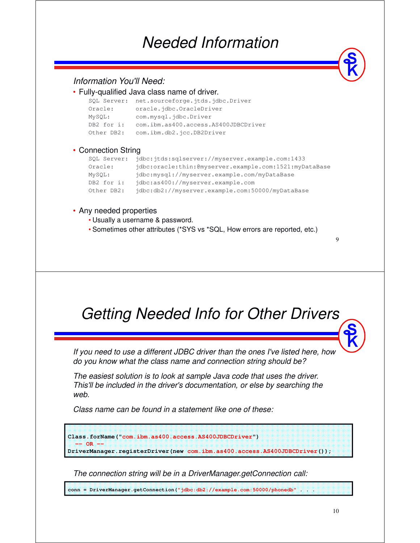### *Needed Information*

#### *Information You'll Need:*

| • Fully-qualified Java class name of driver. |                                                             |  |  |  |
|----------------------------------------------|-------------------------------------------------------------|--|--|--|
|                                              | SQL Server: net.sourceforge.jtds.jdbc.Driver                |  |  |  |
| Oracle:                                      | oracle.jdbc.OracleDriver                                    |  |  |  |
| MySQL:                                       | com.mysql.jdbc.Driver                                       |  |  |  |
| DB2 for i:                                   | com.ibm.as400.access.AS400JDBCDriver                        |  |  |  |
| Other DB2:                                   | com.ibm.db2.jcc.DB2Driver                                   |  |  |  |
| • Connection String                          |                                                             |  |  |  |
|                                              | SQL Server: jdbc:jtds:sqlserver://myserver.example.com:1433 |  |  |  |
|                                              | $\blacksquare$                                              |  |  |  |

| Oracle:    | idbc:oracle:thin:@myserver.example.com:1521:myDataBase |  |  |
|------------|--------------------------------------------------------|--|--|
| MySOL:     | jdbc:mysql://myserver.example.com/myDataBase           |  |  |
| DB2 for i: | idbc:as400://myserver.example.com                      |  |  |
| Other DB2: | idbc:db2://myserver.example.com:50000/myDataBase       |  |  |
|            |                                                        |  |  |

#### • Any needed properties

- Usually a username & password.
- Sometimes other attributes (\*SYS vs \*SQL, How errors are reported, etc.)

### *Getting Needed Info for Other Drivers*

*If you need to use a different JDBC driver than the ones I've listed here, how do you know what the class name and connection string should be?*

*The easiest solution is to look at sample Java code that uses the driver. This'll be included in the driver's documentation, or else by searching the web.* 

*Class name can be found in a statement like one of these:*



*The connection string will be in a DriverManager.getConnection call:*

**conn = DriverManager.getConnection("jdbc:db2://example.com:50000/phonedb" . . .**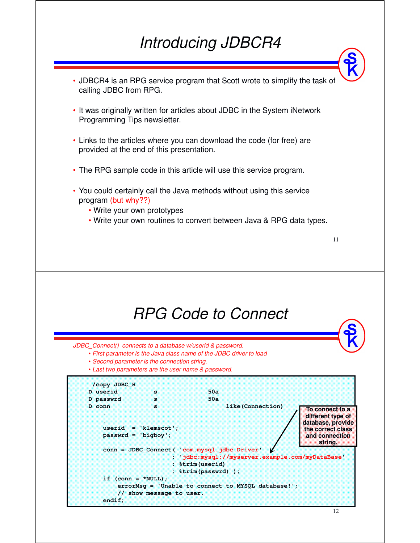### *Introducing JDBCR4*

- JDBCR4 is an RPG service program that Scott wrote to simplify the task of calling JDBC from RPG.
- It was originally written for articles about JDBC in the System iNetwork Programming Tips newsletter.
- Links to the articles where you can download the code (for free) are provided at the end of this presentation.
- The RPG sample code in this article will use this service program.
- You could certainly call the Java methods without using this service program (but why??)
	- Write your own prototypes
	- Write your own routines to convert between Java & RPG data types.



*JDBC\_Connect() connects to a database w/userid & password.*

- *First parameter is the Java class name of the JDBC driver to load*
- *Second parameter is the connection string.*
- *Last two parameters are the user name & password.*

| /copy JDBC H                    |                                                       |                                                                                                                                               |                                                                                                  |
|---------------------------------|-------------------------------------------------------|-----------------------------------------------------------------------------------------------------------------------------------------------|--------------------------------------------------------------------------------------------------|
| D userid                        | æ                                                     | 50a                                                                                                                                           |                                                                                                  |
| D passwrd                       | æ.                                                    | 50a                                                                                                                                           |                                                                                                  |
| D conn<br>92                    | 33<br>userid $=$ 'klemscot';<br>$passwrd = 'bigboy';$ | like (Connection)                                                                                                                             | To connect to a<br>different type of<br>database, provide<br>the correct class<br>and connection |
|                                 |                                                       | conn = JDBC Connect ( 'com.mysql.jdbc.Driver'<br>: 'jdbc:mysql://myserver.example.com/myDataBase'<br>: %trim(userid)<br>: $%trim(passwrd)$ ); | string.                                                                                          |
| if $(conn = *NULL)$ ;<br>endif; | // show message to user.                              | errorMsq = 'Unable to connect to MYSQL database!';                                                                                            |                                                                                                  |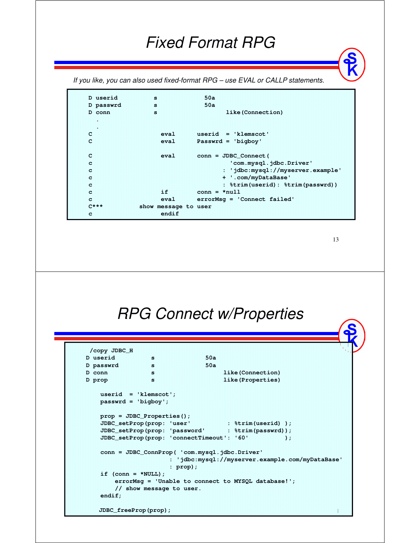### *Fixed Format RPG*

*If you like, you can also used fixed-format RPG – use EVAL or CALLP statements.*

```
D userid s 50a
D passwrd s 50a
D conn s like (Connection)
.
.
C eval userid = 'klemscot'
C eval Passwrd = 'bigboy'
C eval conn = JDBC_Connect(
c'com.mysql.jdbc.Driver'
c : 'jdbc:mysql://myserver.example'
c + '.com/myDataBase'
c : %trim(userid): %trim(passwrd))
c if conn = *null
c eval errorMsg = 'Connect failed'
C*** show message to user
c endif
```
13

### *RPG Connect w/Properties*

```
/copy JDBC_H
D userid s 50a 
D passwrd s 50a
D conn s s like (Connection)
D prop s s and set of \mathbf{B} s and \mathbf{B} are \mathbf{B} s and \mathbf{B} are \mathbf{B} and \mathbf{B} are \mathbf{B} and \mathbf{B} are \mathbf{B} and \mathbf{B} are \mathbf{B} and \mathbf{B} are \mathbf{B} and \mathbf{B} are \mathbf{B} and userid = 'klemscot';
    passwrd = 'bigboy';
    prop = JDBC_Properties();
    JDBC_setProp(prop: 'user' : %trim(userid) );
    JDBC_setProp(prop: 'password' : %trim(passwrd));
    JDBC_setProp(prop: 'connectTimeout': '60' );
    conn = JDBC_ConnProp( 'com.mysql.jdbc.Driver'
                           : 'jdbc:mysql://myserver.example.com/myDataBase'
                           : prop);
    if (conn = *NULL);
         errorMsg = 'Unable to connect to MYSQL database!';
         // show message to user.
    endif; 
    JDBC_freeProp(prop);
```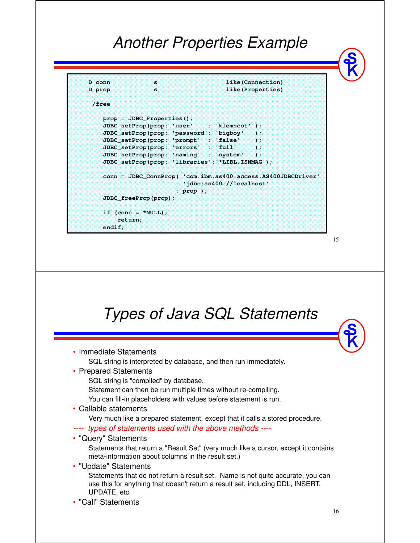### *Another Properties Example*

```
D conn s like (Connection)
D prop s s like(Properties)
 /free
   prop = JDBC_Properties();
   JDBC_setProp(prop: 'user' : 'klemscot' );
   JDBC_setProp(prop: 'password': 'bigboy' );
   JDBC_setProp(prop: 'prompt' : 'false' );
   JDBC_setProp(prop: 'errors' : 'full' );
   JDBC_setProp(prop: 'naming' : 'system' );
   JDBC_setProp(prop: 'libraries':'*LIBL,ISNMAG');
   conn = JDBC_ConnProp( 'com.ibm.as400.access.AS400JDBCDriver'
                     : 'jdbc:as400://localhost'
                     : prop );
   JDBC_freeProp(prop);
   if (conn = *NULL);return;
   endif;
```
#### 16 *Types of Java SQL Statements* • Immediate Statements SQL string is interpreted by database, and then run immediately. • Prepared Statements SQL string is "compiled" by database. Statement can then be run multiple times without re-compiling. You can fill-in placeholders with values before statement is run. • Callable statements Very much like a prepared statement, except that it calls a stored procedure. *---- types of statements used with the above methods ----* • "Query" Statements Statements that return a "Result Set" (very much like a cursor, except it contains meta-information about columns in the result set.) • "Update" Statements Statements that do not return a result set. Name is not quite accurate, you can use this for anything that doesn't return a result set, including DDL, INSERT, UPDATE, etc. • "Call" Statements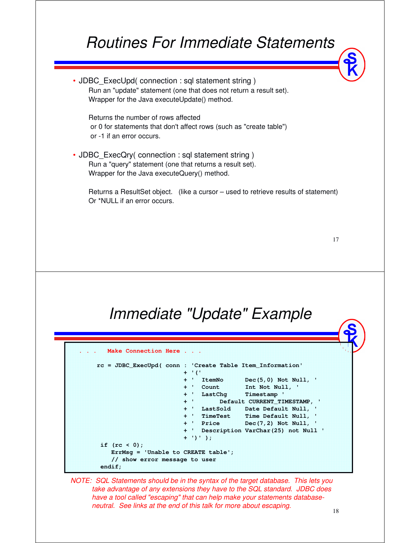### *Routines For Immediate Statements*

• JDBC\_ExecUpd( connection : sql statement string ) Run an "update" statement (one that does not return a result set). Wrapper for the Java executeUpdate() method.

Returns the number of rows affected or 0 for statements that don't affect rows (such as "create table") or -1 if an error occurs.

• JDBC\_ExecQry( connection : sql statement string ) Run a "query" statement (one that returns a result set). Wrapper for the Java executeQuery() method.

Returns a ResultSet object. (like a cursor – used to retrieve results of statement) Or \*NULL if an error occurs.

17

### *Immediate "Update" Example*

| rc = JDBC ExecUpd( conn : 'Create Table Item Information' |                         |                                |                                         |
|-----------------------------------------------------------|-------------------------|--------------------------------|-----------------------------------------|
|                                                           | $+$ $\cdots$ ( $\cdots$ |                                |                                         |
|                                                           |                         |                                | + ItemNo Dec(5,0) Not Null,             |
|                                                           |                         |                                | + ' Count Int Not Null, '               |
|                                                           |                         |                                |                                         |
|                                                           |                         |                                | + ' Default CURRENT TIMESTAMP, '        |
|                                                           |                         |                                | + LastSold Date Default Null,           |
|                                                           |                         |                                | + ' TimeTest Time Default Null, '       |
|                                                           |                         |                                | + Price Dec(7,2) Not Null, '            |
|                                                           |                         |                                | + ' Description VarChar (25) not Null ' |
|                                                           |                         | $\cdots$ ) $\cdots$ ) $\cdots$ |                                         |
| if $(rc < 0)$ ;                                           |                         |                                |                                         |
| $ErrMsq = 'Unable$ to CREATE table';                      |                         |                                |                                         |
| // show error message to user                             |                         |                                |                                         |

*NOTE: SQL Statements should be in the syntax of the target database. This lets you take advantage of any extensions they have to the SQL standard. JDBC does have a tool called "escaping" that can help make your statements databaseneutral. See links at the end of this talk for more about escaping.*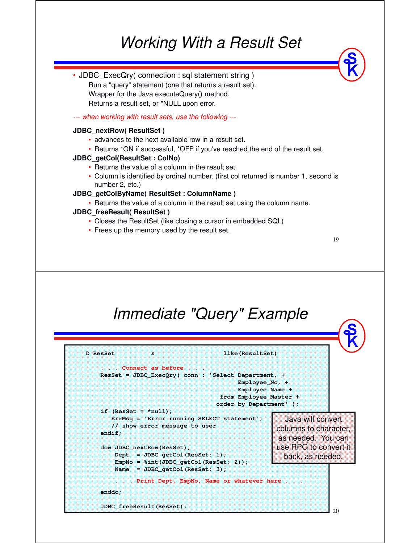### *Working With a Result Set*



**from Employee\_Master + order by Department' );**

> Java will convert columns to character, as needed. You can use RPG to convert it back, as needed.

**. . . Print Dept, EmpNo, Name or whatever here . . .**

**ErrMsg = 'Error running SELECT statement';**

**// show error message to user**

**Dept = JDBC\_getCol(ResSet: 1); EmpNo = %int(JDBC\_getCol(ResSet: 2)); Name = JDBC\_getCol(ResSet: 3);**

**enddo;**

**endif;**

**JDBC\_freeResult(ResSet);**

**dow JDBC\_nextRow(ResSet);**

**if (ResSet = \*null);**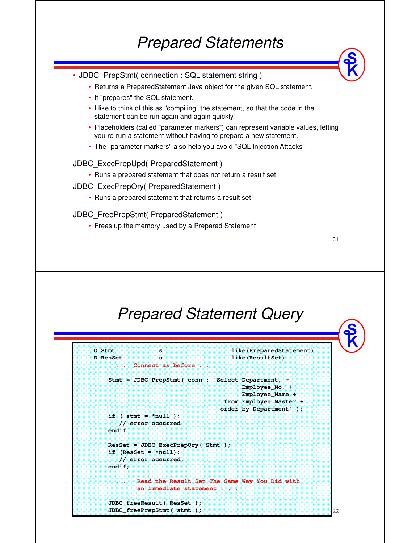### *Prepared Statements*

- JDBC\_PrepStmt( connection : SQL statement string )
	- Returns a PreparedStatement Java object for the given SQL statement.
	- It "prepares" the SQL statement.
	- I like to think of this as "compiling" the statement, so that the code in the statement can be run again and again quickly.
	- Placeholders (called "parameter markers") can represent variable values, letting you re-run a statement without having to prepare a new statement.
	- The "parameter markers" also help you avoid "SQL Injection Attacks"

#### JDBC\_ExecPrepUpd( PreparedStatement )

- Runs a prepared statement that does not return a result set.
- JDBC\_ExecPrepQry( PreparedStatement )
	- Runs a prepared statement that returns a result set

#### JDBC\_FreePrepStmt( PreparedStatement )

• Frees up the memory used by a Prepared Statement

### *Prepared Statement Query*

21

22

#### **D Stmt s like(PreparedStatement) D ResSet s like(ResultSet) . . . Connect as before . . . Stmt = JDBC\_PrepStmt( conn : 'Select Department, + Employee\_No, + Employee\_Name + from Employee\_Master + order by Department' ); if ( stmt = \*null ); // error occurred endif ResSet = JDBC\_ExecPrepQry( Stmt ); if (ResSet = \*null); // error occurred. endif; . . . Read the Result Set The Same Way You Did with an immediate statement . . . JDBC\_freeResult( ResSet ); JDBC\_freePrepStmt( stmt );**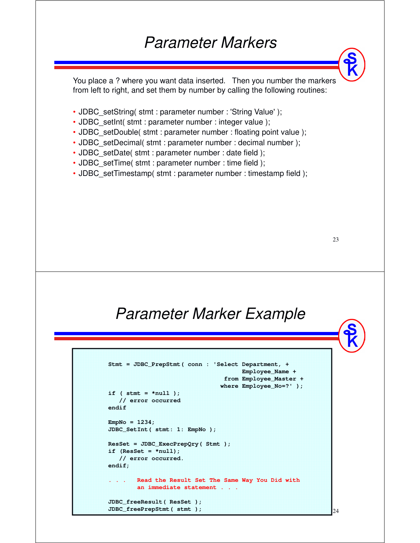### *Parameter Markers*

You place a ? where you want data inserted. Then you number the markers from left to right, and set them by number by calling the following routines:

- JDBC\_setString( stmt : parameter number : 'String Value');
- JDBC\_setInt( stmt : parameter number : integer value );
- JDBC\_setDouble( stmt : parameter number : floating point value );
- JDBC\_setDecimal( stmt : parameter number : decimal number );
- JDBC\_setDate( stmt : parameter number : date field );
- JDBC\_setTime( stmt : parameter number : time field );
- JDBC\_setTimestamp( stmt : parameter number : timestamp field );

23

24

### *Parameter Marker Example*

```
Stmt = JDBC_PrepStmt( conn : 'Select Department, + 
                                     Employee_Name +
                                from Employee_Master +
                               where Employee_No=?' );
if ( stmt = *null );
  // error occurred
endif
EmpNo = 1234;
JDBC_SetInt( stmt: 1: EmpNo );
ResSet = JDBC_ExecPrepQry( Stmt );
if (ResSet = *null);
  // error occurred.
endif;
       Read the Result Set The Same Way You Did with
        an immediate statement . . .
JDBC_freeResult( ResSet );
JDBC_freePrepStmt( stmt );
```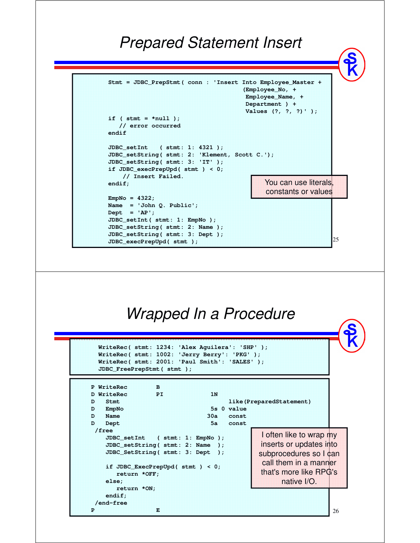### *Prepared Statement Insert*

25 **Stmt = JDBC\_PrepStmt( conn : 'Insert Into Employee\_Master + (Employee\_No, + Employee\_Name, + Department ) + Values (?, ?, ?)' ); if ( stmt = \*null ); // error occurred endif JDBC\_setInt ( stmt: 1: 4321 ); JDBC\_setString( stmt: 2: 'Klement, Scott C.'); JDBC\_setString( stmt: 3: 'IT' ); if JDBC\_execPrepUpd( stmt ) < 0; // Insert Failed. endif; EmpNo = 4322; Name = 'John Q. Public'; Dept = 'AP'; JDBC\_setInt( stmt: 1: EmpNo ); JDBC\_setString( stmt: 2: Name ); JDBC\_setString( stmt: 3: Dept ); JDBC\_execPrepUpd( stmt );** You can use literals, constants or values

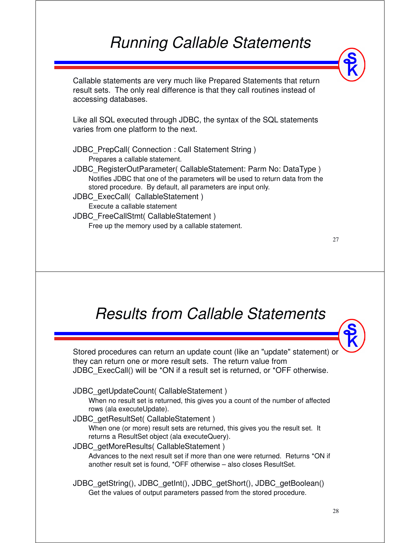### *Running Callable Statements*

Callable statements are very much like Prepared Statements that return result sets. The only real difference is that they call routines instead of accessing databases.

Like all SQL executed through JDBC, the syntax of the SQL statements varies from one platform to the next.

- JDBC\_PrepCall( Connection : Call Statement String ) Prepares a callable statement.
- JDBC\_RegisterOutParameter( CallableStatement: Parm No: DataType ) Notifies JDBC that one of the parameters will be used to return data from the stored procedure. By default, all parameters are input only.
- JDBC\_ExecCall( CallableStatement ) Execute a callable statement
- JDBC\_FreeCallStmt( CallableStatement ) Free up the memory used by a callable statement.

27

### *Results from Callable Statements*

Stored procedures can return an update count (like an "update" statement) or they can return one or more result sets. The return value from JDBC\_ExecCall() will be \*ON if a result set is returned, or \*OFF otherwise.

JDBC\_getUpdateCount( CallableStatement )

When no result set is returned, this gives you a count of the number of affected rows (ala executeUpdate).

#### JDBC\_getResultSet( CallableStatement )

When one (or more) result sets are returned, this gives you the result set. It returns a ResultSet object (ala executeQuery).

#### JDBC\_getMoreResults( CallableStatement )

Advances to the next result set if more than one were returned. Returns \*ON if another result set is found, \*OFF otherwise – also closes ResultSet.

JDBC\_getString(), JDBC\_getInt(), JDBC\_getShort(), JDBC\_getBoolean() Get the values of output parameters passed from the stored procedure.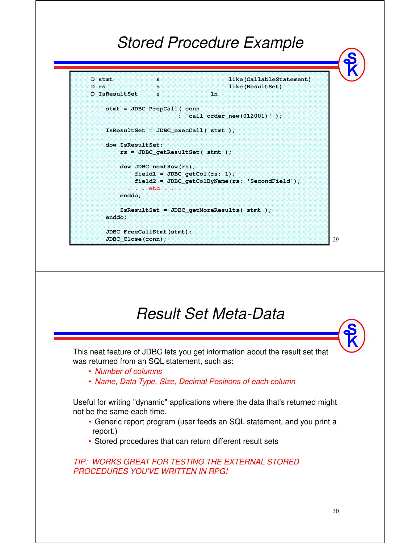### *Stored Procedure Example*

```
D stmt s and s like (CallableStatement)
D rs s s like(ResultSet)
D IsResultSet s 1n
   stmt = JDBC_PrepCall( conn
                     : 'call order_new(012001)' );
   IsResultSet = JDBC_execCall( stmt );
   dow IsResultSet;
       rs = JDBC_getResultSet( stmt );
       dow JDBC_nextRow(rs);
          field1 = JDBC_getCol(rs: 1);
          field2 = JDBC_getColByName(rs: 'SecondField');
          . . . etc . . .
       enddo;
      IsResultSet = JDBC_getMoreResults( stmt );
   enddo;
   JDBC_FreeCallStmt(stmt);
   JDBC_Close(conn);
```
### *Result Set Meta-Data* This neat feature of JDBC lets you get information about the result set that was returned from an SQL statement, such as: • *Number of columns* • *Name, Data Type, Size, Decimal Positions of each column* Useful for writing "dynamic" applications where the data that's returned might not be the same each time. • Generic report program (user feeds an SQL statement, and you print a report.) • Stored procedures that can return different result sets *TIP: WORKS GREAT FOR TESTING THE EXTERNAL STORED*

*PROCEDURES YOU'VE WRITTEN IN RPG!*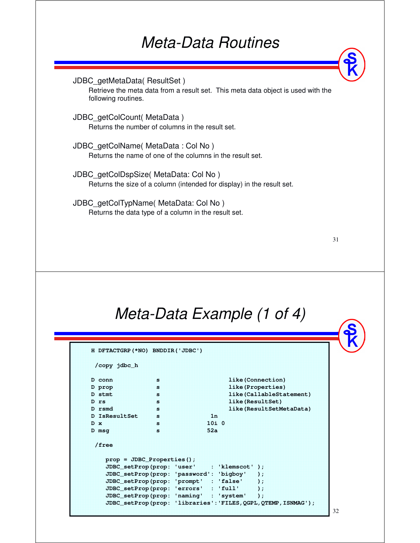### *Meta-Data Routines*

JDBC\_getMetaData( ResultSet ) Retrieve the meta data from a result set. This meta data object is used with the following routines. JDBC\_getColCount( MetaData ) Returns the number of columns in the result set. JDBC\_getColName( MetaData : Col No ) Returns the name of one of the columns in the result set.

JDBC\_getColDspSize( MetaData: Col No )

Returns the size of a column (intended for display) in the result set.

JDBC\_getColTypName( MetaData: Col No ) Returns the data type of a column in the result set.

| ٠<br>٠<br>٦      |  |
|------------------|--|
| I<br>I<br>×<br>v |  |

### *Meta-Data Example (1 of 4)*

| /copy jdbc_h                  |    |      |                                              |  |
|-------------------------------|----|------|----------------------------------------------|--|
|                               |    |      |                                              |  |
| D conn                        | 83 |      | like (Connection)                            |  |
| D prop                        | 88 |      | like (Properties)                            |  |
| D stmt                        | ×. |      | like (CallableStatement)                     |  |
| $D$ $rs$                      | 88 |      | like (ResultSet)                             |  |
| D rsmd                        | ×  |      | like (ResultSetMetaData)                     |  |
| D IsResultSet s               |    | 16   |                                              |  |
| <b>D</b> x                    | ×  | 1010 |                                              |  |
| $D$ msq                       | ×  | 52a  |                                              |  |
| /free                         |    |      |                                              |  |
| $prop = JDBC\_Properties()$ ; |    |      |                                              |  |
|                               |    |      | JDBC_setProp(prop: 'user' : 'klemscot' );    |  |
|                               |    |      | JDBC setProp(prop: 'password': 'bigboy' );   |  |
|                               |    |      | JDBC_setProp(prop: 'prompt' : 'false' );     |  |
|                               |    |      | $JDBC\_setProp (prop: 'errors' : 'full' )$ ; |  |
|                               |    |      | JDBC setProp(prop: 'naming' : 'system' );    |  |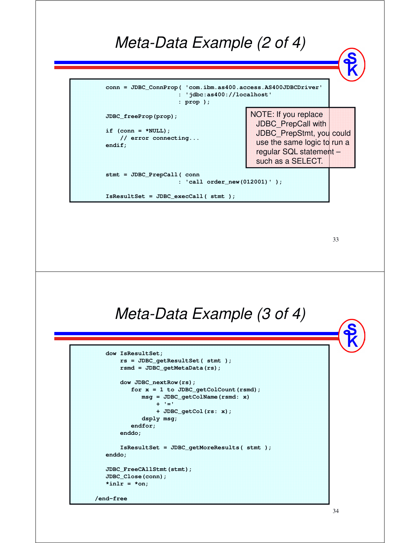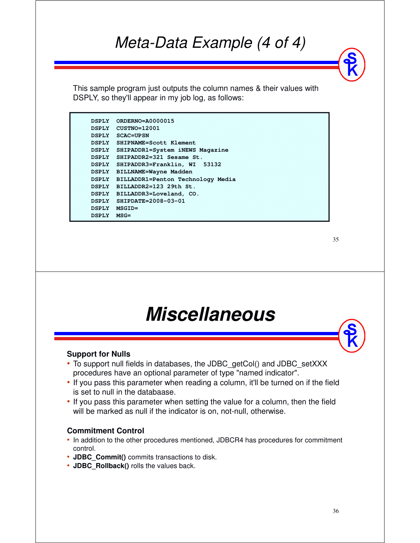### *Meta-Data Example (4 of 4)*

This sample program just outputs the column names & their values with DSPLY, so they'll appear in my job log, as follows:

| <b>DSPIY</b> | $ORDERNO= A0000015$               |
|--------------|-----------------------------------|
| <b>DSPLY</b> | $CUSTNO=12001$                    |
| <b>DSPLY</b> | <b>SCAC=UPSN</b>                  |
| <b>DSPIY</b> | SHIPNAME=Scott Klement            |
| <b>DSPIY</b> | SHIPADDR1=System iNEWS Magazine   |
| DSPIAY       | SHIPADDR2=321 Sesame St.          |
| <b>DSPLY</b> | SHIPADDR3=Franklin. WI 53132      |
| <b>DSPLY</b> | <b>BILLNAME=Wayne Madden</b>      |
| <b>DSPLY</b> | BILLADDR1=Penton Technology Media |
| <b>DSPLY</b> | $BII.LADDR2=123$ 29th St.         |
| <b>DSPLY</b> | BILLADDR3=Loveland, CO.           |
| <b>DSPLY</b> | SHIPDATE=2008-03-01               |
| DSPIAZ       | <b>MSGIDE</b>                     |
| <b>DSPIN</b> | $MSG =$                           |

35

## **Miscellaneous**

#### **Support for Nulls**

- To support null fields in databases, the JDBC\_getCol() and JDBC\_setXXX procedures have an optional parameter of type "named indicator".
- If you pass this parameter when reading a column, it'll be turned on if the field is set to null in the databaase.
- If you pass this parameter when setting the value for a column, then the field will be marked as null if the indicator is on, not-null, otherwise.

#### **Commitment Control**

- In addition to the other procedures mentioned, JDBCR4 has procedures for commitment control.
- **JDBC\_Commit()** commits transactions to disk.
- **JDBC\_Rollback()** rolls the values back.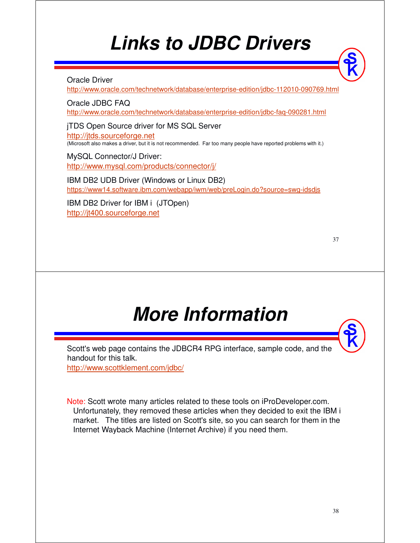# **Links to JDBC Drivers**

#### Oracle Driver

http://www.oracle.com/technetwork/database/enterprise-edition/jdbc-112010-090769.html

Oracle JDBC FAQ http://www.oracle.com/technetwork/database/enterprise-edition/jdbc-faq-090281.html

jTDS Open Source driver for MS SQL Server http://jtds.sourceforge.net (Microsoft also makes a driver, but it is not recommended. Far too many people have reported problems with it.)

MySQL Connector/J Driver: http://www.mysql.com/products/connector/j/

IBM DB2 UDB Driver (Windows or Linux DB2) https://www14.software.ibm.com/webapp/iwm/web/preLogin.do?source=swg-idsdjs

IBM DB2 Driver for IBM i (JTOpen) http://jt400.sourceforge.net

|             | - |
|-------------|---|
| ٠<br>I      |   |
| I<br>×<br>v | ۰ |

# **More Information**

Scott's web page contains the JDBCR4 RPG interface, sample code, and the handout for this talk.

http://www.scottklement.com/jdbc/

Note: Scott wrote many articles related to these tools on iProDeveloper.com. Unfortunately, they removed these articles when they decided to exit the IBM i market. The titles are listed on Scott's site, so you can search for them in the Internet Wayback Machine (Internet Archive) if you need them.